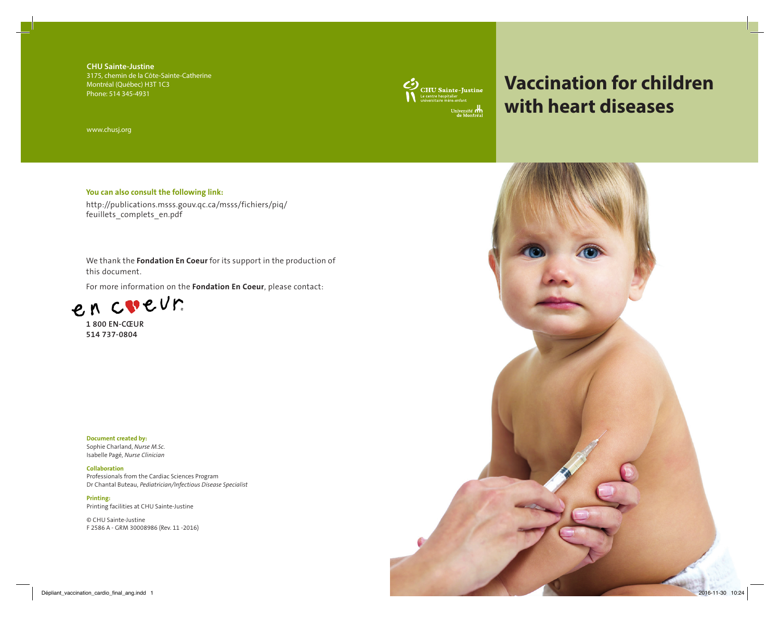**Chu Sainte-Justine** 3175, chemin de la Côte-Sainte-Catherine Montréal (Québec) H3T 1C3 Phone: 514 345-4931

www.chusj.org

## **You can also consult the following link:**

http://publications.msss.gouv.qc.ca/msss/fichiers/piq/ feuillets\_complets\_en.pdf

We thank the **Fondation En Coeur** for its support in the production of this document.

For more information on the **Fondation En Coeur**, please contact:



**1 800 EN-CŒUR 514 737-0804** 

**Document created by:** Sophie Charland, *Nurse M.Sc*. Isabelle Pagé, *Nurse Clinician*

**Collaboration** Professionals from the Cardiac Sciences Program Dr Chantal Buteau, *Pediatrician/Infectious Disease Specialist*

**Printing:** Printing facilities at CHU Sainte-Justine

© CHU Sainte-Justine F 2586 A - GRM 30008986 (Rev. 11 -2016)



## **Vaccination for children with heart diseases**